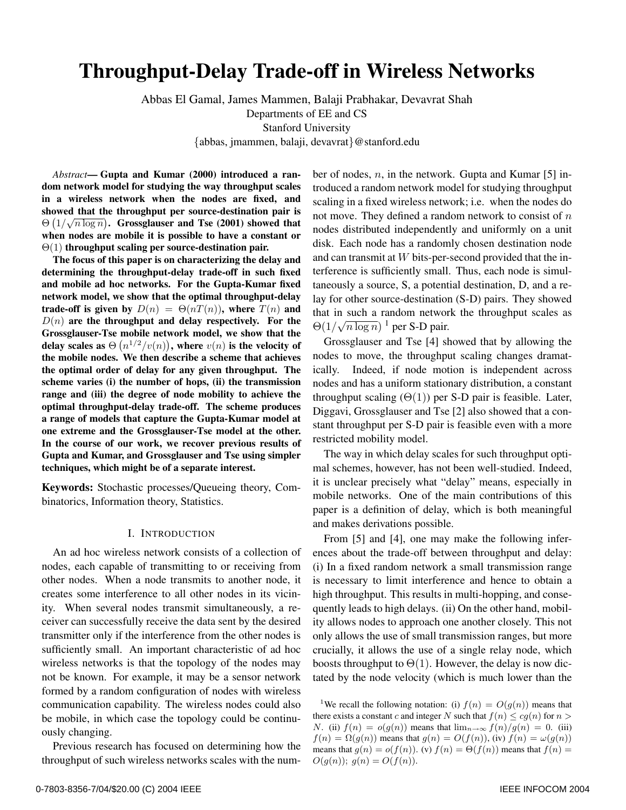# **Throughput-Delay Trade-off in Wireless Networks**

Abbas El Gamal, James Mammen, Balaji Prabhakar, Devavrat Shah Departments of EE and CS Stanford University

{abbas, jmammen, balaji, devavrat}@stanford.edu

*Abstract***— Gupta and Kumar (2000) introduced a random network model for studying the way throughput scales in a wireless network when the nodes are fixed, and showed that the throughput per source-destination pair is** showed that the throughput per source-destination pair is  $\Theta\left(1/\sqrt{n\log n}\right)$ . Grossglauser and Tse (2001) showed that **when nodes are mobile it is possible to have a constant or** Θ(1) **throughput scaling per source-destination pair.**

**The focus of this paper is on characterizing the delay and determining the throughput-delay trade-off in such fixed and mobile ad hoc networks. For the Gupta-Kumar fixed network model, we show that the optimal throughput-delay trade-off is given by**  $D(n) = \Theta(nT(n))$ , where  $T(n)$  and  $D(n)$  are the throughput and delay respectively. For the **Grossglauser-Tse mobile network model, we show that the delay scales as**  $\Theta(n^{1/2}/v(n))$ , where  $v(n)$  is the velocity of **the mobile nodes. We then describe a scheme that achieves the optimal order of delay for any given throughput. The scheme varies (i) the number of hops, (ii) the transmission range and (iii) the degree of node mobility to achieve the optimal throughput-delay trade-off. The scheme produces a range of models that capture the Gupta-Kumar model at one extreme and the Grossglauser-Tse model at the other. In the course of our work, we recover previous results of Gupta and Kumar, and Grossglauser and Tse using simpler techniques, which might be of a separate interest.**

**Keywords:** Stochastic processes/Queueing theory, Combinatorics, Information theory, Statistics.

#### I. INTRODUCTION

An ad hoc wireless network consists of a collection of nodes, each capable of transmitting to or receiving from other nodes. When a node transmits to another node, it creates some interference to all other nodes in its vicinity. When several nodes transmit simultaneously, a receiver can successfully receive the data sent by the desired transmitter only if the interference from the other nodes is sufficiently small. An important characteristic of ad hoc wireless networks is that the topology of the nodes may not be known. For example, it may be a sensor network formed by a random configuration of nodes with wireless communication capability. The wireless nodes could also be mobile, in which case the topology could be continuously changing.

Previous research has focused on determining how the throughput of such wireless networks scales with the number of nodes,  $n$ , in the network. Gupta and Kumar [5] introduced a random network model for studying throughput scaling in a fixed wireless network; i.e. when the nodes do not move. They defined a random network to consist of  $n$ nodes distributed independently and uniformly on a unit disk. Each node has a randomly chosen destination node and can transmit at W bits-per-second provided that the interference is sufficiently small. Thus, each node is simultaneously a source, S, a potential destination, D, and a relay for other source-destination (S-D) pairs. They showed that in such a random network the throughput scales as  $\Theta(1/\sqrt{n \log n})^{-1}$  per S-D pair.

Grossglauser and Tse [4] showed that by allowing the nodes to move, the throughput scaling changes dramatically. Indeed, if node motion is independent across nodes and has a uniform stationary distribution, a constant throughput scaling  $(\Theta(1))$  per S-D pair is feasible. Later, Diggavi, Grossglauser and Tse [2] also showed that a constant throughput per S-D pair is feasible even with a more restricted mobility model.

The way in which delay scales for such throughput optimal schemes, however, has not been well-studied. Indeed, it is unclear precisely what "delay" means, especially in mobile networks. One of the main contributions of this paper is a definition of delay, which is both meaningful and makes derivations possible.

From [5] and [4], one may make the following inferences about the trade-off between throughput and delay: (i) In a fixed random network a small transmission range is necessary to limit interference and hence to obtain a high throughput. This results in multi-hopping, and consequently leads to high delays. (ii) On the other hand, mobility allows nodes to approach one another closely. This not only allows the use of small transmission ranges, but more crucially, it allows the use of a single relay node, which boosts throughput to  $\Theta(1)$ . However, the delay is now dictated by the node velocity (which is much lower than the

<sup>&</sup>lt;sup>1</sup>We recall the following notation: (i)  $f(n) = O(g(n))$  means that there exists a constant c and integer N such that  $f(n) \leq cg(n)$  for  $n >$ N. (ii)  $f(n) = o(g(n))$  means that  $\lim_{n\to\infty} f(n)/g(n) = 0$ . (iii)  $f(n) = \Omega(g(n))$  means that  $g(n) = O(f(n))$ , (iv)  $f(n) = \omega(g(n))$ means that  $g(n) = o(f(n))$ . (v)  $f(n) = \Theta(f(n))$  means that  $f(n) =$  $O(g(n)); g(n) = O(f(n)).$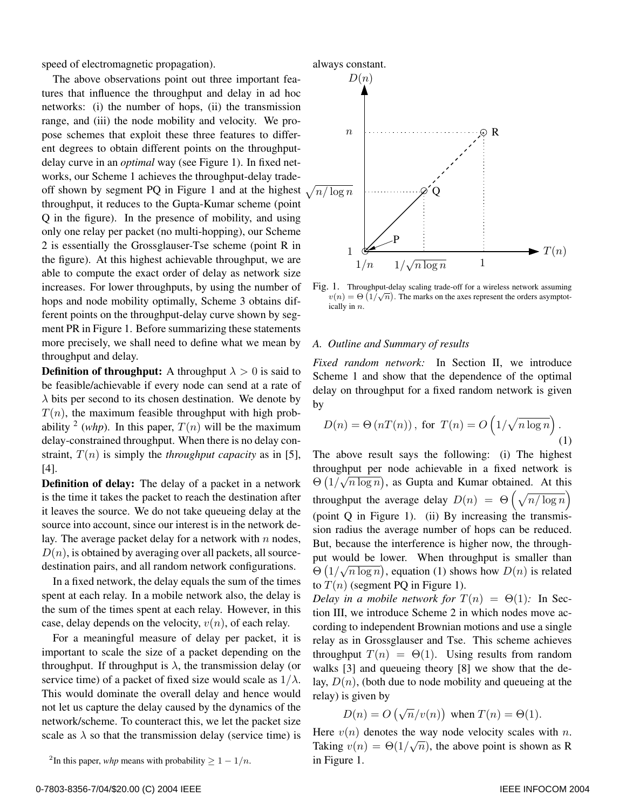speed of electromagnetic propagation).

The above observations point out three important features that influence the throughput and delay in ad hoc networks: (i) the number of hops, (ii) the transmission range, and (iii) the node mobility and velocity. We propose schemes that exploit these three features to different degrees to obtain different points on the throughputdelay curve in an *optimal* way (see Figure 1). In fixed networks, our Scheme 1 achieves the throughput-delay tradeoff shown by segment PQ in Figure 1 and at the highest throughput, it reduces to the Gupta-Kumar scheme (point Q in the figure). In the presence of mobility, and using only one relay per packet (no multi-hopping), our Scheme 2 is essentially the Grossglauser-Tse scheme (point R in the figure). At this highest achievable throughput, we are able to compute the exact order of delay as network size increases. For lower throughputs, by using the number of hops and node mobility optimally, Scheme 3 obtains different points on the throughput-delay curve shown by segment PR in Figure 1. Before summarizing these statements more precisely, we shall need to define what we mean by throughput and delay.

**Definition of throughput:** A throughput  $\lambda > 0$  is said to be feasible/achievable if every node can send at a rate of  $\lambda$  bits per second to its chosen destination. We denote by  $T(n)$ , the maximum feasible throughput with high probability <sup>2</sup> (*whp*). In this paper,  $T(n)$  will be the maximum delay-constrained throughput. When there is no delay constraint,  $T(n)$  is simply the *throughput capacity* as in [5], [4].

**Definition of delay:** The delay of a packet in a network is the time it takes the packet to reach the destination after it leaves the source. We do not take queueing delay at the source into account, since our interest is in the network delay. The average packet delay for a network with  $n$  nodes,  $D(n)$ , is obtained by averaging over all packets, all sourcedestination pairs, and all random network configurations.

In a fixed network, the delay equals the sum of the times spent at each relay. In a mobile network also, the delay is the sum of the times spent at each relay. However, in this case, delay depends on the velocity,  $v(n)$ , of each relay.

For a meaningful measure of delay per packet, it is important to scale the size of a packet depending on the throughput. If throughput is  $\lambda$ , the transmission delay (or service time) of a packet of fixed size would scale as  $1/\lambda$ . This would dominate the overall delay and hence would not let us capture the delay caused by the dynamics of the network/scheme. To counteract this, we let the packet size scale as  $\lambda$  so that the transmission delay (service time) is



Fig. 1. Throughput-delay scaling trade-off for a wireless network assuming 1. The marks on the axes represent the orders asymptot-<br>  $v(n) = Θ(1/\sqrt{n})$ . The marks on the axes represent the orders asymptot-<br>  $i$ cally in *n* ically in n.

#### *A. Outline and Summary of results*

*Fixed random network:* In Section II, we introduce Scheme 1 and show that the dependence of the optimal delay on throughput for a fixed random network is given by

$$
D(n) = \Theta(nT(n)), \text{ for } T(n) = O\left(1/\sqrt{n \log n}\right).
$$
\n(1)

The above result says the following: (i) The highest throughput per node achievable in a fixed network is  $\Theta\left(1/\sqrt{n\log n}\right)$ , as Gupta and Kumar obtained. At this throughput the average delay  $D(n) = \Theta\left(\sqrt{n/\log n}\right)$ (point Q in Figure 1). (ii) By increasing the transmission radius the average number of hops can be reduced. But, because the interference is higher now, the throughput would be lower. When throughput is smaller than  $\Theta\left(1/\sqrt{n \log n}\right)$ , equation (1) shows how  $D(n)$  is related to  $T(n)$  (segment PQ in Figure 1).

*Delay in a mobile network for*  $T(n) = \Theta(1)$ : In Section III, we introduce Scheme 2 in which nodes move according to independent Brownian motions and use a single relay as in Grossglauser and Tse. This scheme achieves throughput  $T(n) = \Theta(1)$ . Using results from random walks [3] and queueing theory [8] we show that the delay,  $D(n)$ , (both due to node mobility and queueing at the relay) is given by

$$
D(n) = O(\sqrt{n}/v(n)) \text{ when } T(n) = \Theta(1).
$$

Here  $v(n)$  denotes the way node velocity scales with n. Taking  $v(n) = \Theta(1/\sqrt{n})$ , the above point is shown as R in Figure 1.

<sup>&</sup>lt;sup>2</sup>In this paper, *whp* means with probability  $\geq 1 - 1/n$ .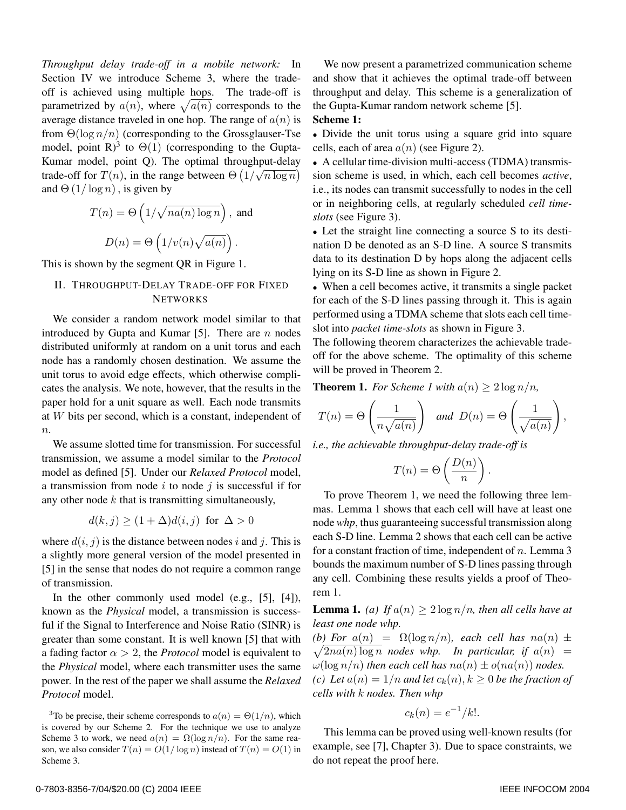*Throughput delay trade-off in a mobile network:* In Section IV we introduce Scheme 3, where the tradeoff is achieved using multiple hops. The trade-off is parametrized by  $a(n)$ , where  $\sqrt{a(n)}$  corresponds to the average distance traveled in one hop. The range of  $a(n)$  is from  $\Theta(\log n/n)$  (corresponding to the Grossglauser-Tse model, point R)<sup>3</sup> to  $\Theta(1)$  (corresponding to the Gupta-Kumar model, point Q). The optimal throughput-delay trade-off for  $T(n)$ , in the range between  $\Theta\left(1/\sqrt{n \log n}\right)$ and  $\Theta(1/\log n)$ , is given by

$$
T(n) = \Theta\left(1/\sqrt{na(n)\log n}\right), \text{ and}
$$

$$
D(n) = \Theta\left(1/v(n)\sqrt{a(n)}\right).
$$

This is shown by the segment QR in Figure 1.

## II. THROUGHPUT-DELAY TRADE-OFF FOR FIXED **NETWORKS**

We consider a random network model similar to that introduced by Gupta and Kumar [5]. There are  $n$  nodes distributed uniformly at random on a unit torus and each node has a randomly chosen destination. We assume the unit torus to avoid edge effects, which otherwise complicates the analysis. We note, however, that the results in the paper hold for a unit square as well. Each node transmits at W bits per second, which is a constant, independent of  $n_{\cdot}$ 

We assume slotted time for transmission. For successful transmission, we assume a model similar to the *Protocol* model as defined [5]. Under our *Relaxed Protocol* model, a transmission from node  $i$  to node  $j$  is successful if for any other node  $k$  that is transmitting simultaneously,

$$
d(k, j) \ge (1 + \Delta)d(i, j) \text{ for } \Delta > 0
$$

where  $d(i, j)$  is the distance between nodes i and j. This is a slightly more general version of the model presented in [5] in the sense that nodes do not require a common range of transmission.

In the other commonly used model (e.g., [5], [4]), known as the *Physical* model, a transmission is successful if the Signal to Interference and Noise Ratio (SINR) is greater than some constant. It is well known [5] that with a fading factor  $\alpha > 2$ , the *Protocol* model is equivalent to the *Physical* model, where each transmitter uses the same power. In the rest of the paper we shall assume the *Relaxed Protocol* model.

We now present a parametrized communication scheme and show that it achieves the optimal trade-off between throughput and delay. This scheme is a generalization of the Gupta-Kumar random network scheme [5].

# **Scheme 1:**

• Divide the unit torus using a square grid into square cells, each of area  $a(n)$  (see Figure 2).

• A cellular time-division multi-access (TDMA) transmission scheme is used, in which, each cell becomes *active*, i.e., its nodes can transmit successfully to nodes in the cell or in neighboring cells, at regularly scheduled *cell timeslots* (see Figure 3).

• Let the straight line connecting a source S to its destination D be denoted as an S-D line. A source S transmits data to its destination D by hops along the adjacent cells lying on its S-D line as shown in Figure 2.

• When a cell becomes active, it transmits a single packet for each of the S-D lines passing through it. This is again performed using a TDMA scheme that slots each cell timeslot into *packet time-slots* as shown in Figure 3.

The following theorem characterizes the achievable tradeoff for the above scheme. The optimality of this scheme will be proved in Theorem 2.

**Theorem 1.** *For Scheme 1 with*  $a(n) \geq 2 \log n/n$ ,

$$
T(n) = \Theta\left(\frac{1}{n\sqrt{a(n)}}\right) \text{ and } D(n) = \Theta\left(\frac{1}{\sqrt{a(n)}}\right),
$$

*i.e., the achievable throughput-delay trade-off is*

$$
T(n) = \Theta\left(\frac{D(n)}{n}\right).
$$

To prove Theorem 1, we need the following three lemmas. Lemma 1 shows that each cell will have at least one node *whp*, thus guaranteeing successful transmission along each S-D line. Lemma 2 shows that each cell can be active for a constant fraction of time, independent of  $n$ . Lemma 3 bounds the maximum number of S-D lines passing through any cell. Combining these results yields a proof of Theorem 1.

**Lemma 1.** *(a)* If  $a(n) \geq 2 \log n/n$ , then all cells have at *least one node whp.*

(b) For  $a(n) = \Omega(\log n/n)$ , each cell has  $na(n) \pm$  $\sqrt{2na(n)\log n}$  *nodes whp.* In particular, if  $a(n)$  =  $\omega(\log n/n)$  *then each cell has*  $na(n) \pm o(na(n))$  *nodes. (c)* Let  $a(n)=1/n$  *and let*  $c_k(n), k \geq 0$  *be the fraction of cells with* k *nodes. Then whp*

$$
c_k(n) = e^{-1}/k!.
$$

This lemma can be proved using well-known results (for example, see [7], Chapter 3). Due to space constraints, we do not repeat the proof here.

<sup>&</sup>lt;sup>3</sup>To be precise, their scheme corresponds to  $a(n) = \Theta(1/n)$ , which is covered by our Scheme 2. For the technique we use to analyze Scheme 3 to work, we need  $a(n) = \Omega(\log n/n)$ . For the same reason, we also consider  $T(n) = O(1/\log n)$  instead of  $T(n) = O(1)$  in Scheme 3.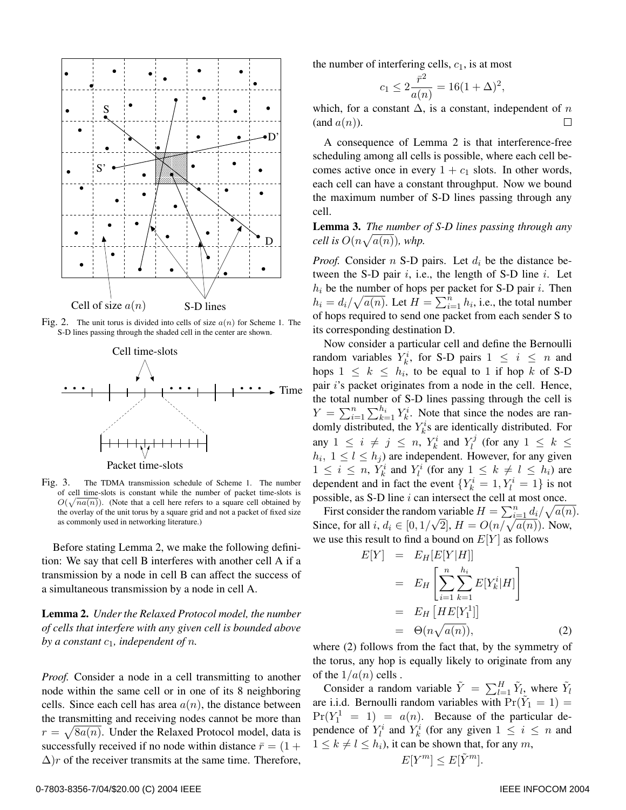

Fig. 2. The unit torus is divided into cells of size  $a(n)$  for Scheme 1. The S-D lines passing through the shaded cell in the center are shown.



Fig. 3. The TDMA transmission schedule of Scheme 1. The number of cell time-slots is constant while the number of packet time-slots is  $O(\sqrt{na(n)})$ . (Note that a cell here refers to a square cell obtained by the overlay of the unit torus by a square grid and not a packet of fixed size the overlay of the unit torus by a square grid and not a packet of fixed size as commonly used in networking literature.)

Before stating Lemma 2, we make the following definition: We say that cell B interferes with another cell A if a transmission by a node in cell B can affect the success of a simultaneous transmission by a node in cell A.

**Lemma 2.** *Under the Relaxed Protocol model, the number of cells that interfere with any given cell is bounded above by a constant*  $c_1$ *, independent of n.* 

*Proof.* Consider a node in a cell transmitting to another node within the same cell or in one of its 8 neighboring cells. Since each cell has area  $a(n)$ , the distance between the transmitting and receiving nodes cannot be more than  $r = \sqrt{8a(n)}$ . Under the Relaxed Protocol model, data is successfully received if no node within distance  $\bar{r} = (1 +$  $\Delta$ )r of the receiver transmits at the same time. Therefore,

the number of interfering cells,  $c_1$ , is at most

$$
c_1 \le 2\frac{\bar{r}^2}{a(n)} = 16(1+\Delta)^2,
$$

which, for a constant  $\Delta$ , is a constant, independent of n  $($ and  $a(n)$ ).  $\Box$ 

A consequence of Lemma 2 is that interference-free scheduling among all cells is possible, where each cell becomes active once in every  $1 + c_1$  slots. In other words, each cell can have a constant throughput. Now we bound the maximum number of S-D lines passing through any cell.

**Lemma 3.** *The number of S-D lines passing through any cell is*  $O(n\sqrt{a(n)})$ *, whp.* 

*Proof.* Consider  $n$  S-D pairs. Let  $d_i$  be the distance between the S-D pair  $i$ , i.e., the length of S-D line  $i$ . Let  $h_i$  be the number of hops per packet for S-D pair i. Then  $h_i = d_i / \sqrt{a(n)}$ . Let  $H = \sum_{i=1}^n h_i$ , i.e., the total number<br>of hops required to send one packet from each sender S to of hops required to send one packet from each sender S to its corresponding destination D.

Now consider a particular cell and define the Bernoulli random variables  $Y_k^i$ , for S-D pairs  $1 \leq i \leq n$  and hops  $1 \leq k \leq h_i$ , to be equal to 1 if hop k of S-D pair i's packet originates from a node in the cell. Hence, the total number of S-D lines passing through the cell is  $Y = \sum_{i=1}^{n} \sum_{k=1}^{h_i} Y_k^i$ . Note that since the nodes are ran-<br>domly distributed, the *Y*<sup>*i*</sup>s are identically distributed. For  $\sum_{i=1}^{n} \sum_{k=1}^{n} r_k$ . Note that since the hodes are randomly distributed, the  $Y_k^i$ s are identically distributed. For any  $1 \leq i \neq j \leq n$ ,  $Y_k^i$  and  $Y_l^j$  (for any  $1 \leq k \leq$  $h_i$ ,  $1 \leq l \leq h_i$ ) are independent. However, for any given  $1 \leq i \leq n$ ,  $Y_k^i$  and  $Y_l^i$  (for any  $1 \leq k \neq l \leq h_i$ ) are dependent and in fact the event  $\{Y_k^i = 1, Y_l^i = 1\}$  is not possible, as  $S-D$  line  $i$  can intersect the cell at most once.

First consider the random variable  $H = \sum_{i=1}^{n} d_i / \sqrt{a(n)}$ .<br>ace, for all  $i, d \in [0, 1/\sqrt{2}]$ ,  $H = O(n / \sqrt{a(n)})$ . Now First consider the random variable  $H = \sum_{i=1}^{\infty} \frac{di}{\sqrt{a(n)}} \sqrt{a(n)}$ .<br>Since, for all  $i, d_i \in [0, 1/\sqrt{2}]$ ,  $H = O(n/\sqrt{a(n)})$ . Now, we use this result to find a bound on  $E[Y]$  as follows

$$
E[Y] = E_H[E[Y|H]]
$$
  
= 
$$
E_H\left[\sum_{i=1}^n \sum_{k=1}^{h_i} E[Y_k^i|H]\right]
$$
  
= 
$$
E_H[HE[Y_1^1]]
$$
  
= 
$$
\Theta(n\sqrt{a(n)}),
$$
 (2)

where (2) follows from the fact that, by the symmetry of the torus, any hop is equally likely to originate from any of the  $1/a(n)$  cells.

Consider a random variable  $\tilde{Y} = \sum_{l=1}^{H} \tilde{Y}_l$ , where  $\tilde{Y}_l$ are i.i.d. Bernoulli random variables with  $Pr(Y_1 = 1)$  =  $Pr(Y_1^1 = 1) = a(n)$ . Because of the particular de-<br>pandance of  $Y_i^i$  and  $Y_i^i$  (for any given  $1 \le i \le n$  and pendence of  $Y_l^i$  and  $Y_k^i$  (for any given  $1 \le i \le n$  and  $1 \leq k \neq l \leq h_i$ , it can be shown that, for any m,

$$
E[Y^m] \le E[\tilde{Y}^m].
$$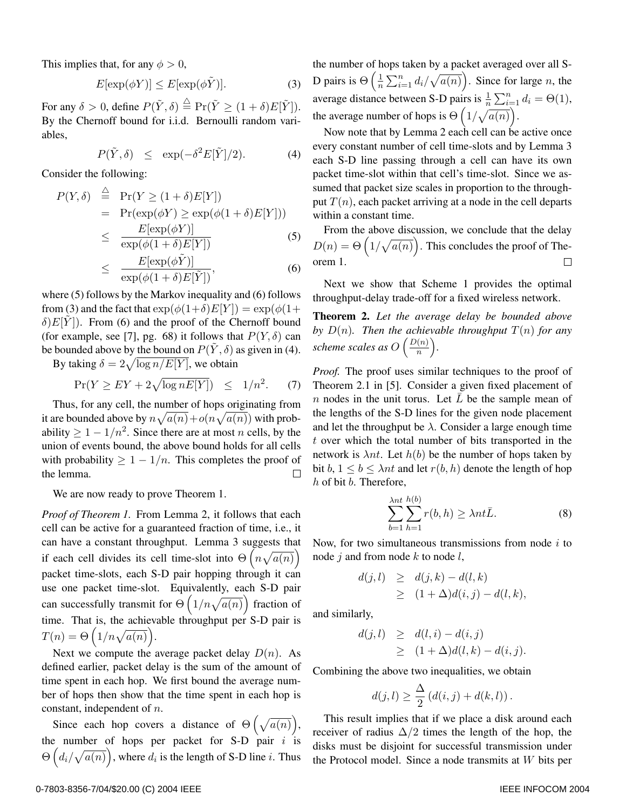This implies that, for any  $\phi > 0$ ,

$$
E[\exp(\phi Y)] \le E[\exp(\phi \tilde{Y})].\tag{3}
$$

For any  $\delta > 0$ , define  $P(\tilde{Y}, \delta) \stackrel{\triangle}{=} \Pr(\tilde{Y} \ge (1 + \delta)E[\tilde{Y}]).$ By the Chernoff bound for i.i.d. Bernoulli random variables,

$$
P(\tilde{Y}, \delta) \le \exp(-\delta^2 E[\tilde{Y}]/2). \tag{4}
$$

Consider the following:

$$
P(Y, \delta) \stackrel{\triangle}{=} \Pr(Y \ge (1 + \delta)E[Y])
$$
  
= 
$$
\Pr(\exp(\phi Y) \ge \exp(\phi(1 + \delta)E[Y]))
$$
  

$$
\le \frac{E[\exp(\phi Y)]}{\exp(\phi(1 + \delta)E[Y])}
$$
(5)

$$
\leq \frac{E[\exp(\phi \tilde{Y})]}{\exp(\phi(1+\delta)E[\tilde{Y}])},\tag{6}
$$

where (5) follows by the Markov inequality and (6) follows from (3) and the fact that  $\exp(\phi(1+\delta)E[Y]) = \exp(\phi(1+\delta)E[Y])$  $\delta$ ) $E[Y]$ ). From (6) and the proof of the Chernoff bound (for example, see [7], pg. 68) it follows that  $P(Y, \delta)$  can be bounded above by the bound on  $P(\tilde{Y}, \delta)$  as given in (4).

By taking  $\delta = 2\sqrt{\log n/E[Y]}$ , we obtain

$$
\Pr(Y \ge EY + 2\sqrt{\log nE[Y]}) \le 1/n^2. \tag{7}
$$

Thus, for any cell, the number of hops originating from it are bounded above by  $n\sqrt{a(n)} + o(n\sqrt{a(n)})$  with probability  $\geq 1 - 1/n^2$ . Since there are at most n cells, by the union of events bound, the above bound holds for all cells with probability  $\geq 1 - 1/n$ . This completes the proof of the lemma.  $\Box$ 

We are now ready to prove Theorem 1.

*Proof of Theorem 1.* From Lemma 2, it follows that each cell can be active for a guaranteed fraction of time, i.e., it can have a constant throughput. Lemma 3 suggests that if each cell divides its cell time-slot into  $\Theta(n\sqrt{a(n)})$ packet time-slots, each S-D pair hopping through it can use one packet time-slot. Equivalently, each S-D pair can successfully transmit for  $\Theta\left(1/n\sqrt{a(n)}\right)$  fraction of time. That is, the achievable throughput per S-D pair is  $T(n) = \Theta\left(1/n\sqrt{a(n)}\right).$ 

Next we compute the average packet delay  $D(n)$ . As defined earlier, packet delay is the sum of the amount of time spent in each hop. We first bound the average number of hops then show that the time spent in each hop is constant, independent of n.

Since each hop covers a distance of  $\Theta\left(\sqrt{a(n)}\right)$ , the number of hops per packet for S-D pair  $i$  is  $\Theta\left(d_i/\sqrt{a(n)}\right)$ , where  $d_i$  is the length of S-D line  $i$ . Thus the number of hops taken by a packet averaged over all S-D pairs is  $\Theta\left(\frac{1}{n}\sum_{i=1}^n d_i/\sqrt{a(n)}\right)$ . Since for large *n*, the average distance between S-D pairs is  $\frac{1}{n} \sum_{i=1}^{n} d_i = \Theta(1)$ , the average number of hops is  $\Theta\left(1/\sqrt{a(n)}\right)$ .

Now note that by Lemma 2 each cell can be active once every constant number of cell time-slots and by Lemma 3 each S-D line passing through a cell can have its own packet time-slot within that cell's time-slot. Since we assumed that packet size scales in proportion to the throughput  $T(n)$ , each packet arriving at a node in the cell departs within a constant time.

From the above discussion, we conclude that the delay  $D(n) = \Theta\left(\frac{1}{\sqrt{a(n)}}\right)$ . This concludes the proof of Theorem 1.  $\Box$ 

Next we show that Scheme 1 provides the optimal throughput-delay trade-off for a fixed wireless network.

**Theorem 2.** *Let the average delay be bounded above by*  $D(n)$ *. Then the achievable throughput*  $T(n)$  *for any scheme scales as*  $O\left(\frac{D(n)}{n}\right)$ .

*Proof.* The proof uses similar techniques to the proof of Theorem 2.1 in [5]. Consider a given fixed placement of *n* nodes in the unit torus. Let  $\overline{L}$  be the sample mean of the lengths of the S-D lines for the given node placement and let the throughput be  $\lambda$ . Consider a large enough time t over which the total number of bits transported in the network is  $\lambda nt$ . Let  $h(b)$  be the number of hops taken by bit  $b, 1 \leq b \leq \lambda nt$  and let  $r(b, h)$  denote the length of hop h of bit b. Therefore,

$$
\sum_{b=1}^{\lambda nt} \sum_{h=1}^{h(b)} r(b, h) \ge \lambda nt \bar{L}.
$$
 (8)

Now, for two simultaneous transmissions from node  $i$  to node  $j$  and from node  $k$  to node  $l$ ,

$$
d(j,l) \geq d(j,k) - d(l,k)
$$
  
\n
$$
\geq (1+\Delta)d(i,j) - d(l,k),
$$

and similarly,

$$
d(j,l) \geq d(l,i) - d(i,j)
$$
  
\n
$$
\geq (1+\Delta)d(l,k) - d(i,j).
$$

Combining the above two inequalities, we obtain

$$
d(j,l) \geq \frac{\Delta}{2} (d(i,j) + d(k,l)).
$$

This result implies that if we place a disk around each receiver of radius  $\Delta/2$  times the length of the hop, the disks must be disjoint for successful transmission under the Protocol model. Since a node transmits at W bits per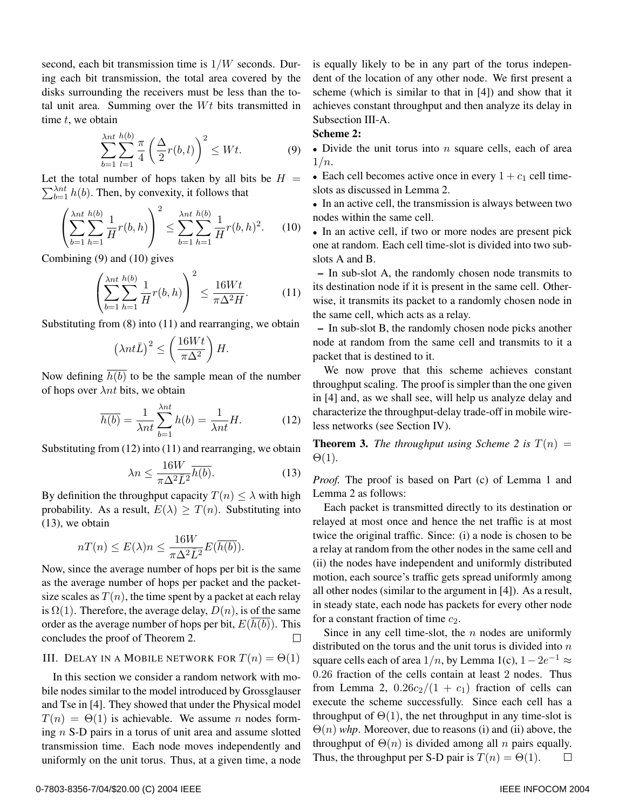second, each bit transmission time is 1/W seconds. During each bit transmission, the total area covered by the disks surrounding the receivers must be less than the total unit area. Summing over the  $Wt$  bits transmitted in time  $t$ , we obtain

$$
\sum_{b=1}^{\lambda nt} \sum_{l=1}^{h(b)} \frac{\pi}{4} \left( \frac{\Delta}{2} r(b, l) \right)^2 \le Wt.
$$
 (9)

Let the total number of hops taken by all bits be  $H =$  $\sum_{b=1}^{\lambda nt} h(b)$ . Then, by convexity, it follows that

$$
\left(\sum_{b=1}^{\lambda nt} \sum_{h=1}^{h(b)} \frac{1}{H} r(b, h)\right)^2 \le \sum_{b=1}^{\lambda nt} \sum_{h=1}^{h(b)} \frac{1}{H} r(b, h)^2. \tag{10}
$$

Combining (9) and (10) gives

$$
\left(\sum_{b=1}^{\lambda nt} \sum_{h=1}^{h(b)} \frac{1}{H} r(b, h)\right)^2 \le \frac{16Wt}{\pi \Delta^2 H}.
$$
 (11)

Substituting from  $(8)$  into  $(11)$  and rearranging, we obtain

$$
\left(\lambda nt \bar{L}\right)^2 \le \left(\frac{16Wt}{\pi \Delta^2}\right)H.
$$

Now defining  $\overline{h(b)}$  to be the sample mean of the number of hops over  $\lambda nt$  bits, we obtain

$$
\overline{h(b)} = \frac{1}{\lambda nt} \sum_{b=1}^{\lambda nt} h(b) = \frac{1}{\lambda nt} H.
$$
 (12)

Substituting from (12) into (11) and rearranging, we obtain

$$
\lambda n \le \frac{16W}{\pi \Delta^2 \bar{L}^2} \overline{h(b)}.
$$
 (13)

By definition the throughput capacity  $T(n) \leq \lambda$  with high probability. As a result,  $E(\lambda) > T(n)$ . Substituting into (13), we obtain

$$
nT(n) \le E(\lambda)n \le \frac{16W}{\pi \Delta^2 \bar{L}^2} E(\overline{h(b)}).
$$

Now, since the average number of hops per bit is the same as the average number of hops per packet and the packetsize scales as  $T(n)$ , the time spent by a packet at each relay is  $\Omega(1)$ . Therefore, the average delay,  $D(n)$ , is of the same order as the average number of hops per bit,  $E(\overline{h(b)})$ . This concludes the proof of Theorem 2. П

## III. DELAY IN A MOBILE NETWORK FOR  $T(n) = \Theta(1)$

In this section we consider a random network with mobile nodes similar to the model introduced by Grossglauser and Tse in [4]. They showed that under the Physical model  $T(n) = \Theta(1)$  is achievable. We assume *n* nodes forming  $n$  S-D pairs in a torus of unit area and assume slotted transmission time. Each node moves independently and uniformly on the unit torus. Thus, at a given time, a node is equally likely to be in any part of the torus independent of the location of any other node. We first present a scheme (which is similar to that in [4]) and show that it achieves constant throughput and then analyze its delay in Subsection III-A.

## **Scheme 2:**

- Divide the unit torus into  $n$  square cells, each of area  $1/n$ .
- Each cell becomes active once in every  $1 + c_1$  cell timeslots as discussed in Lemma 2.

• In an active cell, the transmission is always between two nodes within the same cell.

• In an active cell, if two or more nodes are present pick one at random. Each cell time-slot is divided into two subslots A and B.

**–** In sub-slot A, the randomly chosen node transmits to its destination node if it is present in the same cell. Otherwise, it transmits its packet to a randomly chosen node in the same cell, which acts as a relay.

**–** In sub-slot B, the randomly chosen node picks another node at random from the same cell and transmits to it a packet that is destined to it.

We now prove that this scheme achieves constant throughput scaling. The proof is simpler than the one given in [4] and, as we shall see, will help us analyze delay and characterize the throughput-delay trade-off in mobile wireless networks (see Section IV).

**Theorem 3.** *The throughput using Scheme 2 is*  $T(n) =$ Θ(1)*.*

*Proof.* The proof is based on Part (c) of Lemma 1 and Lemma 2 as follows:

Each packet is transmitted directly to its destination or relayed at most once and hence the net traffic is at most twice the original traffic. Since: (i) a node is chosen to be a relay at random from the other nodes in the same cell and (ii) the nodes have independent and uniformly distributed motion, each source's traffic gets spread uniformly among all other nodes (similar to the argument in [4]). As a result, in steady state, each node has packets for every other node for a constant fraction of time  $c_2$ .

Since in any cell time-slot, the  $n$  nodes are uniformly distributed on the torus and the unit torus is divided into  $n$ square cells each of area  $1/n$ , by Lemma 1(c),  $1-2e^{-1} \approx$ 0.26 fraction of the cells contain at least 2 nodes. Thus from Lemma 2,  $0.26c_2/(1 + c_1)$  fraction of cells can execute the scheme successfully. Since each cell has a throughput of  $\Theta(1)$ , the net throughput in any time-slot is  $\Theta(n)$  *whp*. Moreover, due to reasons (i) and (ii) above, the throughput of  $\Theta(n)$  is divided among all n pairs equally. Thus, the throughput per S-D pair is  $T(n) = \Theta(1)$ .  $\Box$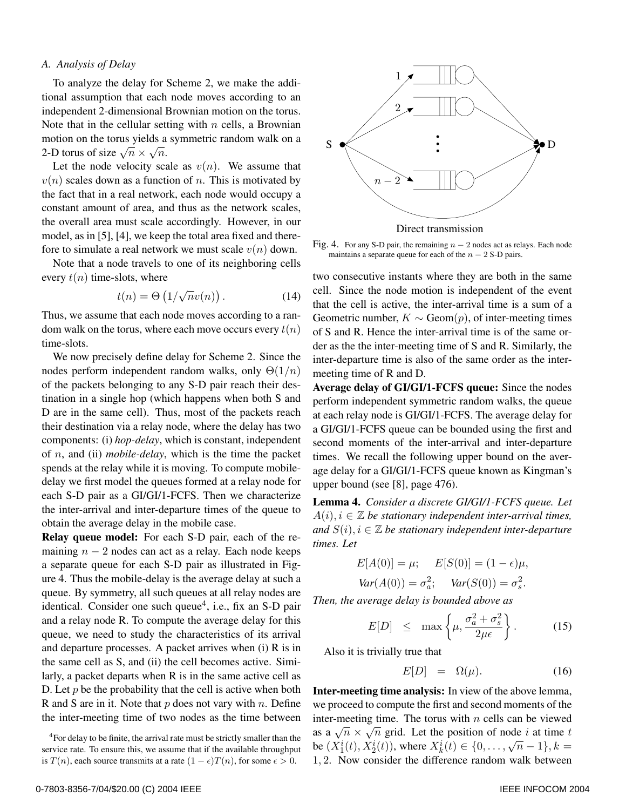#### *A. Analysis of Delay*

To analyze the delay for Scheme 2, we make the additional assumption that each node moves according to an independent 2-dimensional Brownian motion on the torus. Note that in the cellular setting with  $n$  cells, a Brownian motion on the torus yields a symmetric random walk on a 2-D torus of size  $\sqrt{n} \times \sqrt{n}$ .

Let the node velocity scale as  $v(n)$ . We assume that  $v(n)$  scales down as a function of n. This is motivated by the fact that in a real network, each node would occupy a constant amount of area, and thus as the network scales, the overall area must scale accordingly. However, in our model, as in [5], [4], we keep the total area fixed and therefore to simulate a real network we must scale  $v(n)$  down.

Note that a node travels to one of its neighboring cells every  $t(n)$  time-slots, where

$$
t(n) = \Theta\left(1/\sqrt{n}v(n)\right). \tag{14}
$$

Thus, we assume that each node moves according to a random walk on the torus, where each move occurs every  $t(n)$ time-slots.

We now precisely define delay for Scheme 2. Since the nodes perform independent random walks, only  $\Theta(1/n)$ of the packets belonging to any S-D pair reach their destination in a single hop (which happens when both S and D are in the same cell). Thus, most of the packets reach their destination via a relay node, where the delay has two components: (i) *hop-delay*, which is constant, independent of n, and (ii) *mobile-delay*, which is the time the packet spends at the relay while it is moving. To compute mobiledelay we first model the queues formed at a relay node for each S-D pair as a GI/GI/1-FCFS. Then we characterize the inter-arrival and inter-departure times of the queue to obtain the average delay in the mobile case.

**Relay queue model:** For each S-D pair, each of the remaining  $n - 2$  nodes can act as a relay. Each node keeps a separate queue for each S-D pair as illustrated in Figure 4. Thus the mobile-delay is the average delay at such a queue. By symmetry, all such queues at all relay nodes are identical. Consider one such queue<sup>4</sup>, i.e., fix an S-D pair and a relay node R. To compute the average delay for this queue, we need to study the characteristics of its arrival and departure processes. A packet arrives when (i) R is in the same cell as S, and (ii) the cell becomes active. Similarly, a packet departs when R is in the same active cell as D. Let  $p$  be the probability that the cell is active when both R and S are in it. Note that  $p$  does not vary with  $n$ . Define the inter-meeting time of two nodes as the time between



Direct transmission

Fig. 4. For any S-D pair, the remaining  $n - 2$  nodes act as relays. Each node maintains a separate queue for each of the  $n - 2$  S-D pairs.

two consecutive instants where they are both in the same cell. Since the node motion is independent of the event that the cell is active, the inter-arrival time is a sum of a Geometric number,  $K \sim$  Geom $(p)$ , of inter-meeting times of S and R. Hence the inter-arrival time is of the same order as the the inter-meeting time of S and R. Similarly, the inter-departure time is also of the same order as the intermeeting time of R and D.

**Average delay of GI/GI/1-FCFS queue:** Since the nodes perform independent symmetric random walks, the queue at each relay node is GI/GI/1-FCFS. The average delay for a GI/GI/1-FCFS queue can be bounded using the first and second moments of the inter-arrival and inter-departure times. We recall the following upper bound on the average delay for a GI/GI/1-FCFS queue known as Kingman's upper bound (see [8], page 476).

**Lemma 4.** *Consider a discrete GI/GI/1-FCFS queue. Let*  $A(i), i \in \mathbb{Z}$  be stationary independent inter-arrival times, *and*  $S(i)$ ,  $i \in \mathbb{Z}$  *be stationary independent inter-departure times. Let*

$$
E[A(0)] = \mu; \quad E[S(0)] = (1 - \epsilon)\mu,
$$
  
 
$$
Var(A(0)) = \sigma_a^2; \quad Var(S(0)) = \sigma_s^2.
$$

*Then, the average delay is bounded above as*

$$
E[D] \leq \max\left\{\mu, \frac{\sigma_a^2 + \sigma_s^2}{2\mu\epsilon}\right\}.
$$
 (15)

Also it is trivially true that

$$
E[D] = \Omega(\mu). \tag{16}
$$

**Inter-meeting time analysis:** In view of the above lemma, we proceed to compute the first and second moments of the inter-meeting time. The torus with  $n$  cells can be viewed as a  $\sqrt{n} \times \sqrt{n}$  grid. Let the position of node *i* at time *t* be  $(X_1^i(t), X_2^i(t))$ , where  $X_k^i(t) \in \{0, \ldots, \sqrt{n}-1\}$ ,  $k =$ <br>1.2 Now consider the difference random walk between 1, 2. Now consider the difference random walk between

 $4$ For delay to be finite, the arrival rate must be strictly smaller than the service rate. To ensure this, we assume that if the available throughput is  $T(n)$ , each source transmits at a rate  $(1 - \epsilon)T(n)$ , for some  $\epsilon > 0$ .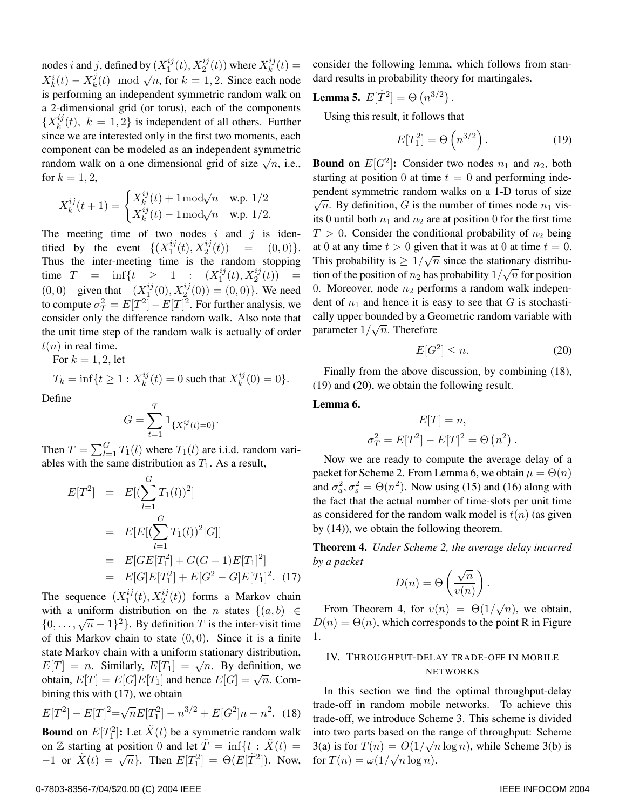nodes *i* and *j*, defined by  $(X_1^{ij}(t), X_2^{ij}(t))$  where  $X_k^{ij}(t) =$ <br> $X_k^{i}(t)$   $X_k^{j}(t)$  and  $\sqrt{2}$  for  $k = 1, 2$ . Since each node  $X_k^i(t) - X_k^j(t) \mod \sqrt{n}$ , for  $k = 1, 2$ . Since each node is performing an independent symmetric random walk on a 2-dimensional grid (or torus), each of the components  ${X_k^{ij}(t), k = 1, 2}$  is independent of all others. Further since we are interested only in the first two moments, each component can be modeled as an independent symmetric random walk on a one dimensional grid of size  $\sqrt{n}$ , i.e., for  $k = 1, 2$ ,

$$
X_k^{ij}(t+1)=\begin{cases} X_k^{ij}(t)+1\,\mathrm{mod}\sqrt{n} & \text{w.p. }1/2\\ X_k^{ij}(t)-1\,\mathrm{mod}\sqrt{n} & \text{w.p. }1/2.\end{cases}
$$

The meeting time of two nodes  $i$  and  $j$  is identified by the event  $\{(X_1^{ij}(t), X_2^{ij})\}$ <br>Thus the inter-meeting time is the tified by the event  $\{(X_1^{ij}(t), X_2^{ij}(t)) = (0, 0)\}.$ <br>Thus the inter-meeting time is the random stopping time  $T = \inf\{t \ge 1 : (X_1^{ij}(t), X_2^{ij}(t)) =$ <br>(0,0) given that  $(X_1^{ij}(0), Y_2^{ij}(0)) = (0,0)$  We need  $(0,0)$  given that  $(X_1^{ij}(0), X_2^{ij}(0)) = (0,0)$ . We need<br>to compute  $\sigma^2 = E[T^2] - E[T]^2$  For further analysis, we to compute  $\sigma_T^2 = E[T^2] - E[T]^2$ . For further analysis, we consider only the difference random walk. Also note that the unit time step of the random walk is actually of order  $t(n)$  in real time.

For  $k = 1, 2$ , let

$$
T_k = \inf\{t \ge 1 : X_k^{ij}(t) = 0 \text{ such that } X_k^{ij}(0) = 0\}.
$$

Define

$$
G = \sum_{t=1}^{T} 1_{\{X_1^{ij}(t) = 0\}}.
$$

Then  $T = \sum_{l=1}^{G} T_1(l)$  where  $T_1(l)$  are i.i.d. random vari-<br>ables with the same distribution as  $T_1$ . As a result ables with the same distribution as  $T_1$ . As a result,

$$
E[T^2] = E[(\sum_{l=1}^{G} T_1(l))^2]
$$
  
= 
$$
E[E[(\sum_{l=1}^{G} T_1(l))^2|G]]
$$
  
= 
$$
E[GE[T_1^2] + G(G-1)E[T_1]^2]
$$
  
= 
$$
E[G]E[T_1^2] + E[G^2 - G]E[T_1]^2.
$$
 (17)

The sequence  $(X_1^{ij}(t), X_2^{ij}(t))$  forms a Markov chain<br>with a uniform distribution on the *n* states  $f(a, b) \in$ with a uniform distribution on the n states  $\{(a, b) \in$  $\{0,\ldots,\sqrt{n}-1\}^2$ . By definition T is the inter-visit time of this Markov chain to state  $(0, 0)$ . Since it is a finite state Markov chain with a uniform stationary distribution,  $E[T] = n$ . Similarly,  $E[T_1] = \sqrt{n}$ . By definition, we obtain,  $E[T] = E[G]E[T_1]$  and hence  $E[G] = \sqrt{n}$ . Combining this with (17), we obtain

$$
E[T^{2}] - E[T]^{2} = \sqrt{n}E[T_{1}^{2}] - n^{3/2} + E[G^{2}]n - n^{2}.
$$
 (18)

**Bound on**  $E[T_1^2]$ : Let  $\tilde{X}(t)$  be a symmetric random walk on Z starting at position 0 and let  $T = \inf\{t : X(t) = \emptyset\}$  $-1$  or  $\tilde{X}(t) = \sqrt{n}$ . Then  $E[T_1^2] = \Theta(E[\tilde{T}^2])$ . Now, consider the following lemma, which follows from standard results in probability theory for martingales.

.

**Lemma 5.** 
$$
E[\tilde{T}^2] = \Theta(n^{3/2})
$$

Using this result, it follows that

$$
E[T_1^2] = \Theta\left(n^{3/2}\right). \tag{19}
$$

**Bound on**  $E[G^2]$ : Consider two nodes  $n_1$  and  $n_2$ , both starting at position 0 at time  $t = 0$  and performing independent symmetric random walks on a 1-D torus of size  $\sqrt{n}$ . By definition, G is the number of times node  $n_1$  visits 0 until both  $n_1$  and  $n_2$  are at position 0 for the first time  $T > 0$ . Consider the conditional probability of  $n_2$  being at 0 at any time  $t > 0$  given that it was at 0 at time  $t = 0$ . This probability is  $\geq 1/\sqrt{n}$  since the stationary distribution of the position of  $n_2$  has probability  $1/\sqrt{n}$  for position<br>0. Moreover, node as proforms a gradom wells independent 0. Moreover, node  $n_2$  performs a random walk independent of  $n_1$  and hence it is easy to see that G is stochastically upper bounded by a Geometric random variable with carry upper bounded by a Gward

$$
E[G^2] \le n. \tag{20}
$$

Finally from the above discussion, by combining (18), (19) and (20), we obtain the following result.

**Lemma 6.**

$$
E[T] = n,
$$
  

$$
\sigma_T^2 = E[T^2] - E[T]^2 = \Theta(n^2).
$$

Now we are ready to compute the average delay of a packet for Scheme 2. From Lemma 6, we obtain  $\mu = \Theta(n)$ and  $\sigma_a^2$ ,  $\sigma_s^2 = \Theta(n^2)$ . Now using (15) and (16) along with the fact that the actual number of time-slots per unit time as considered for the random walk model is  $t(n)$  (as given by (14)), we obtain the following theorem.

**Theorem 4.** *Under Scheme 2, the average delay incurred by a packet*

$$
D(n) = \Theta\left(\frac{\sqrt{n}}{v(n)}\right).
$$

From Theorem 4, for  $v(n) = \Theta(1/\sqrt{n})$ , we obtain,  $D(n) = \Theta(n)$ , which corresponds to the point R in Figure 1.

## IV. THROUGHPUT-DELAY TRADE-OFF IN MOBILE NETWORKS

In this section we find the optimal throughput-delay trade-off in random mobile networks. To achieve this trade-off, we introduce Scheme 3. This scheme is divided into two parts based on the range of throughput: Scheme 3(a) is for  $T(n) = O(1/\sqrt{n \log n})$ , while Scheme 3(b) is  $f(x)$  is for  $T(n) = \omega(1/\sqrt{n \log n}).$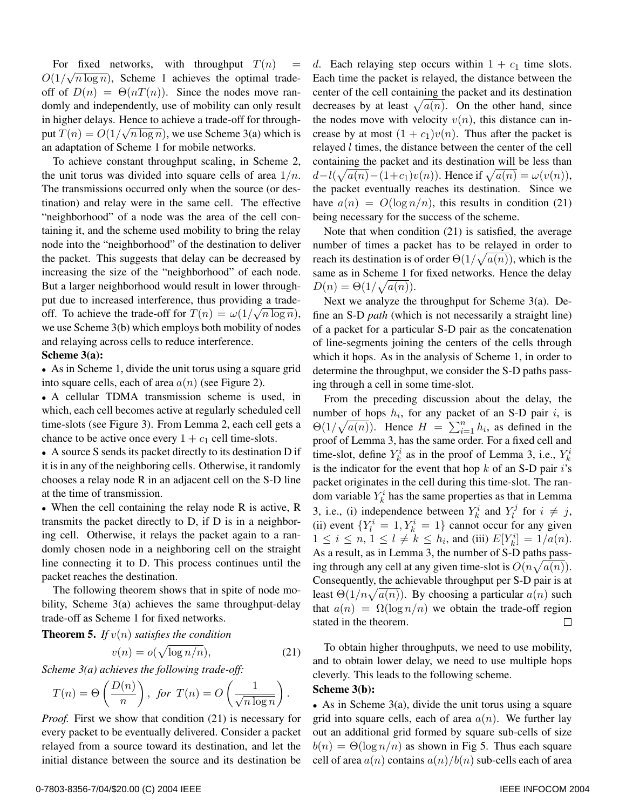For fixed networks, with throughput  $T(n)$  =  $O(1/\sqrt{n \log n})$ , Scheme 1 achieves the optimal tradeoff of  $D(n) = \Theta(nT(n))$ . Since the nodes move randomly and independently, use of mobility can only result in higher delays. Hence to achieve a trade-off for through-In light delays. Thence to achieve a trade-off for unough-<br>put  $T(n) = O(1/\sqrt{n \log n})$ , we use Scheme 3(a) which is an adaptation of Scheme 1 for mobile networks.

To achieve constant throughput scaling, in Scheme 2, the unit torus was divided into square cells of area  $1/n$ . The transmissions occurred only when the source (or destination) and relay were in the same cell. The effective "neighborhood" of a node was the area of the cell containing it, and the scheme used mobility to bring the relay node into the "neighborhood" of the destination to deliver the packet. This suggests that delay can be decreased by increasing the size of the "neighborhood" of each node. But a larger neighborhood would result in lower throughput due to increased interference, thus providing a tradeput due to increased interference, thus providing a trade-<br>off. To achieve the trade-off for  $T(n) = \omega(1/\sqrt{n \log n})$ , we use Scheme 3(b) which employs both mobility of nodes and relaying across cells to reduce interference.

## **Scheme 3(a):**

• As in Scheme 1, divide the unit torus using a square grid into square cells, each of area  $a(n)$  (see Figure 2).

• A cellular TDMA transmission scheme is used, in which, each cell becomes active at regularly scheduled cell time-slots (see Figure 3). From Lemma 2, each cell gets a chance to be active once every  $1 + c_1$  cell time-slots.

• A source S sends its packet directly to its destination D if it is in any of the neighboring cells. Otherwise, it randomly chooses a relay node R in an adjacent cell on the S-D line at the time of transmission.

• When the cell containing the relay node R is active, R transmits the packet directly to D, if D is in a neighboring cell. Otherwise, it relays the packet again to a randomly chosen node in a neighboring cell on the straight line connecting it to D. This process continues until the packet reaches the destination.

The following theorem shows that in spite of node mobility, Scheme 3(a) achieves the same throughput-delay trade-off as Scheme 1 for fixed networks.

**Theorem 5.** *If*  $v(n)$  *satisfies the condition* 

$$
v(n) = o(\sqrt{\log n/n}), \tag{21}
$$

*Scheme 3(a) achieves the following trade-off:*

$$
T(n) = \Theta\left(\frac{D(n)}{n}\right)
$$
, for  $T(n) = O\left(\frac{1}{\sqrt{n \log n}}\right)$ .

*Proof.* First we show that condition (21) is necessary for every packet to be eventually delivered. Consider a packet relayed from a source toward its destination, and let the initial distance between the source and its destination be

d. Each relaying step occurs within  $1 + c_1$  time slots. Each time the packet is relayed, the distance between the center of the cell containing the packet and its destination decreases by at least  $\sqrt{a(n)}$ . On the other hand, since the nodes move with velocity  $v(n)$ , this distance can increase by at most  $(1 + c_1)v(n)$ . Thus after the packet is relayed l times, the distance between the center of the cell containing the packet and its destination will be less than  $d-l(\sqrt{a(n)}-(1+c_1)v(n))$ . Hence if  $\sqrt{a(n)} = \omega(v(n))$ ,<br>the neglect exact vally resolved its destination. Since we the packet eventually reaches its destination. Since we have  $a(n) = O(\log n/n)$ , this results in condition (21) being necessary for the success of the scheme.

Note that when condition (21) is satisfied, the average number of times a packet has to be relayed in order to reach its destination is of order  $\Theta(1/\sqrt{a(n)})$ , which is the same as in Scheme 1 for fixed networks. Hence the delay  $D(n) = \Theta(1/\sqrt{a(n)}).$ 

Next we analyze the throughput for Scheme 3(a). Define an S-D *path* (which is not necessarily a straight line) of a packet for a particular S-D pair as the concatenation of line-segments joining the centers of the cells through which it hops. As in the analysis of Scheme 1, in order to determine the throughput, we consider the S-D paths passing through a cell in some time-slot.

From the preceding discussion about the delay, the number of hops  $h_i$ , for any packet of an S-D pair i, is  $\Theta(1/\sqrt{a(n)})$ . Hence  $H = \sum_{i=1}^{n} h_i$ , as defined in the proof of Lemma 3, has the same order. For a fixed cell and proof of Lemma 3, has the same order. For a fixed cell and time-slot, define  $Y_k^i$  as in the proof of Lemma 3, i.e.,  $Y_k^i$ is the indicator for the event that hop  $k$  of an S-D pair  $i$ 's packet originates in the cell during this time-slot. The random variable  $Y_k^i$  has the same properties as that in Lemma 3, i.e., (i) independence between  $Y_k^i$  and  $Y_l^j$  for  $i \neq j$ , (ii) event  $\{Y_l^i = 1, Y_k^i = 1\}$  cannot occur for any given  $1 \le i \le n, 1 \le l \ne k \le h_i$ , and (iii)  $E[Y_k^i] = 1/a(n)$ . As a result, as in Lemma 3, the number of S-D paths passing through any cell at any given time-slot is  $O(n\sqrt{a(n)})$ . Consequently, the achievable throughput per S-D pair is at least  $\Theta(1/n\sqrt{a(n)})$ . By choosing a particular  $a(n)$  such that  $a(n) = \Omega(\log n/n)$  we obtain the trade-off region stated in the theorem.  $\Box$ 

To obtain higher throughputs, we need to use mobility, and to obtain lower delay, we need to use multiple hops cleverly. This leads to the following scheme.

#### **Scheme 3(b):**

• As in Scheme  $3(a)$ , divide the unit torus using a square grid into square cells, each of area  $a(n)$ . We further lay out an additional grid formed by square sub-cells of size  $b(n) = \Theta(\log n/n)$  as shown in Fig 5. Thus each square cell of area  $a(n)$  contains  $a(n)/b(n)$  sub-cells each of area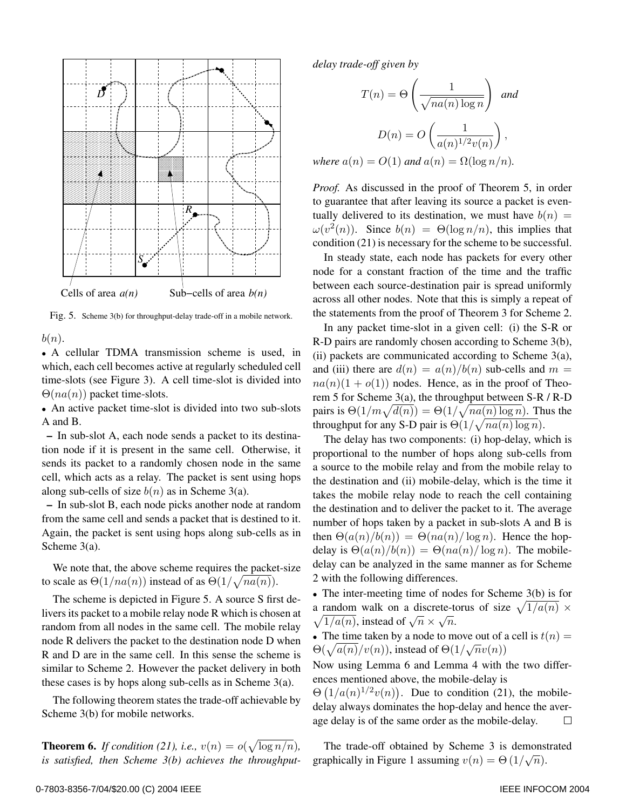

Fig. 5. Scheme 3(b) for throughput-delay trade-off in a mobile network.

 $b(n)$ .

• A cellular TDMA transmission scheme is used, in which, each cell becomes active at regularly scheduled cell time-slots (see Figure 3). A cell time-slot is divided into  $\Theta(na(n))$  packet time-slots.

• An active packet time-slot is divided into two sub-slots A and B.

**–** In sub-slot A, each node sends a packet to its destination node if it is present in the same cell. Otherwise, it sends its packet to a randomly chosen node in the same cell, which acts as a relay. The packet is sent using hops along sub-cells of size  $b(n)$  as in Scheme 3(a).

**–** In sub-slot B, each node picks another node at random from the same cell and sends a packet that is destined to it. Again, the packet is sent using hops along sub-cells as in Scheme 3(a).

We note that, the above scheme requires the packet-size to scale as  $\Theta(1/na(n))$  instead of as  $\Theta(1/\sqrt{na(n)})$ .

The scheme is depicted in Figure 5. A source S first delivers its packet to a mobile relay node R which is chosen at random from all nodes in the same cell. The mobile relay node R delivers the packet to the destination node D when R and D are in the same cell. In this sense the scheme is similar to Scheme 2. However the packet delivery in both these cases is by hops along sub-cells as in Scheme 3(a).

The following theorem states the trade-off achievable by Scheme 3(b) for mobile networks.

**Theorem 6.** *If condition* (21), *i.e.*,  $v(n) = o(\sqrt{\log n/n})$ , *is satisfied, then Scheme 3(b) achieves the throughput-* *delay trade-off given by*

$$
T(n) = \Theta\left(\frac{1}{\sqrt{na(n)\log n}}\right) \text{ and}
$$

$$
D(n) = O\left(\frac{1}{a(n)^{1/2}v(n)}\right),
$$
  
where  $a(n) = O(1)$  and  $a(n) = \Omega(\log n/n)$ .

*Proof.* As discussed in the proof of Theorem 5, in order to guarantee that after leaving its source a packet is eventually delivered to its destination, we must have  $b(n)$  =  $\omega(v^2(n))$ . Since  $b(n) = \Theta(\log n/n)$ , this implies that condition (21) is necessary for the scheme to be successful.

In steady state, each node has packets for every other node for a constant fraction of the time and the traffic between each source-destination pair is spread uniformly across all other nodes. Note that this is simply a repeat of the statements from the proof of Theorem 3 for Scheme 2.

In any packet time-slot in a given cell: (i) the S-R or R-D pairs are randomly chosen according to Scheme 3(b), (ii) packets are communicated according to Scheme 3(a), and (iii) there are  $d(n) = a(n)/b(n)$  sub-cells and  $m =$  $na(n)(1 + o(1))$  nodes. Hence, as in the proof of Theorem 5 for Scheme 3(a), the throughput between S-R / R-D pairs is  $\Theta(1/m\sqrt{d(n)}) = \Theta(1/\sqrt{na(n)\log n})$ . Thus the throughput for any S-D pair is  $\Theta(1/\sqrt{na(n)\log n})$ .

The delay has two components: (i) hop-delay, which is proportional to the number of hops along sub-cells from a source to the mobile relay and from the mobile relay to the destination and (ii) mobile-delay, which is the time it takes the mobile relay node to reach the cell containing the destination and to deliver the packet to it. The average number of hops taken by a packet in sub-slots A and B is then  $\Theta(a(n)/b(n)) = \Theta(na(n)/\log n)$ . Hence the hopdelay is  $\Theta(a(n)/b(n)) = \Theta(na(n)/\log n)$ . The mobiledelay can be analyzed in the same manner as for Scheme 2 with the following differences.

• The inter-meeting time of nodes for Scheme 3(b) is for a random walk on a discrete-torus of size  $\sqrt{1/a(n)} \times$  $\sqrt{1/a(n)}$ , instead of  $\sqrt{n} \times \sqrt{n}$ .

• The time taken by a node to move out of a cell is  $t(n) =$  $Θ(\sqrt{a(n)}/v(n))$ , instead of  $Θ(1/\sqrt{n}v(n))$ 

Now using Lemma 6 and Lemma 4 with the two differences mentioned above, the mobile-delay is

 $\Theta\left(\frac{1}{a}(n)^{1/2}v(n)\right)$ . Due to condition (21), the mobiledelay always dominates the hop-delay and hence the average delay is of the same order as the mobile-delay.  $\Box$ 

The trade-off obtained by Scheme 3 is demonstrated graphically in Figure 1 assuming  $v(n) = \Theta(1/\sqrt{n})$ .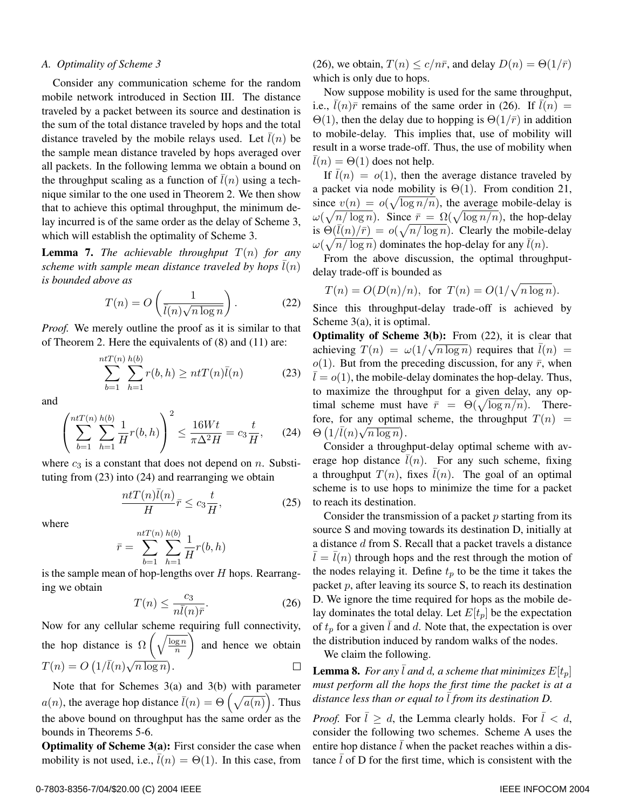#### *A. Optimality of Scheme 3*

Consider any communication scheme for the random mobile network introduced in Section III. The distance traveled by a packet between its source and destination is the sum of the total distance traveled by hops and the total distance traveled by the mobile relays used. Let  $l(n)$  be the sample mean distance traveled by hops averaged over all packets. In the following lemma we obtain a bound on the throughput scaling as a function of  $\bar{l}(n)$  using a technique similar to the one used in Theorem 2. We then show that to achieve this optimal throughput, the minimum delay incurred is of the same order as the delay of Scheme 3, which will establish the optimality of Scheme 3.

**Lemma 7.** *The achievable throughput*  $T(n)$  *for any scheme with sample mean distance traveled by hops*  $l(n)$ *is bounded above as*

$$
T(n) = O\left(\frac{1}{\bar{l}(n)\sqrt{n\log n}}\right).
$$
 (22)

*Proof.* We merely outline the proof as it is similar to that of Theorem 2. Here the equivalents of (8) and (11) are:

$$
\sum_{b=1}^{ntT(n)} \sum_{h=1}^{h(b)} r(b, h) \ge ntT(n)\bar{l}(n)
$$
 (23)

and

$$
\left(\sum_{b=1}^{ntT(n)}\sum_{h=1}^{h(b)}\frac{1}{H}r(b,h)\right)^2 \le \frac{16Wt}{\pi\Delta^2H} = c_3\frac{t}{H},\qquad(24)
$$

where  $c_3$  is a constant that does not depend on n. Substituting from (23) into (24) and rearranging we obtain

$$
\frac{ntT(n)\bar{l}(n)}{H}\bar{r} \le c_3 \frac{t}{H},\tag{25}
$$

where

$$
\bar{r} = \sum_{b=1}^{n t T(n)} \sum_{h=1}^{h(b)} \frac{1}{H} r(b, h)
$$

is the sample mean of hop-lengths over H hops. Rearranging we obtain c

$$
T(n) \le \frac{c_3}{n\bar{l}(n)\bar{r}}.\tag{26}
$$

Now for any cellular scheme requiring full connectivity, the hop distance is  $\Omega\left(\sqrt{\frac{\log n}{n}}\right)$ and hence we obtain  $T(n) = O\left(\frac{1}{l(n)}\sqrt{n \log n}\right).$  $\Box$ 

Note that for Schemes 3(a) and 3(b) with parameter  $a(n)$ , the average hop distance  $\bar{l}(n) = \Theta\left(\sqrt{a(n)}\right)$ . Thus the above bound on throughput has the same order as the bounds in Theorems 5-6.

**Optimality of Scheme 3(a):** First consider the case when mobility is not used, i.e.,  $\bar{l}(n) = \Theta(1)$ . In this case, from (26), we obtain,  $T(n) \le c/n\bar{r}$ , and delay  $D(n) = \Theta(1/\bar{r})$ which is only due to hops.

Now suppose mobility is used for the same throughput, i.e.,  $l(n)\bar{r}$  remains of the same order in (26). If  $l(n) =$  $\Theta(1)$ , then the delay due to hopping is  $\Theta(1/\bar{r})$  in addition to mobile-delay. This implies that, use of mobility will result in a worse trade-off. Thus, the use of mobility when  $l(n) = \Theta(1)$  does not help.

If  $\bar{l}(n) = o(1)$ , then the average distance traveled by a packet via node mobility is  $\Theta(1)$ . From condition 21, since  $v(n) = o(\sqrt{\log n/n})$ , the average mobile-delay is  $\omega(\sqrt{n/\log n})$ . Since  $\bar{r} = \Omega(\sqrt{\log n/n})$ , the hop-delay is  $\Theta(\overline{l}(n)/\overline{r}) = o(\sqrt{n/\log n})$ . Clearly the mobile-delay  $\omega(\sqrt{n/\log n})$  dominates the hop-delay for any  $\overline{l}(n)$ .

From the above discussion, the optimal throughputdelay trade-off is bounded as

$$
T(n) = O(D(n)/n), \text{ for } T(n) = O(1/\sqrt{n \log n}).
$$

Since this throughput-delay trade-off is achieved by Scheme 3(a), it is optimal.

**Optimality of Scheme 3(b):** From (22), it is clear that **Optimally of Scheme 5(b).** From (22), it is clear that  $\bar{l}(n)$  =  $\omega(1/\sqrt{n \log n})$  requires that  $\bar{l}(n)$  =  $o(1)$ . But from the preceding discussion, for any  $\bar{r}$ , when  $\bar{l} = o(1)$ , the mobile-delay dominates the hop-delay. Thus, to maximize the throughput for a given delay, any optimal scheme must have  $\bar{r} = \Theta(\sqrt{\log n/n})$ . Therefore, for any optimal scheme, the throughput  $T(n)$  =  $\Theta\left(1/\overline{l}(n)\sqrt{n\log n}\right)$ .

Consider a throughput-delay optimal scheme with average hop distance  $\bar{l}(n)$ . For any such scheme, fixing a throughput  $T(n)$ , fixes  $\bar{l}(n)$ . The goal of an optimal scheme is to use hops to minimize the time for a packet to reach its destination.

Consider the transmission of a packet  $p$  starting from its source S and moving towards its destination D, initially at a distance d from S. Recall that a packet travels a distance  $\overline{l} = \overline{l}(n)$  through hops and the rest through the motion of the nodes relaying it. Define  $t_p$  to be the time it takes the packet  $p$ , after leaving its source  $S$ , to reach its destination D. We ignore the time required for hops as the mobile delay dominates the total delay. Let  $E[t_p]$  be the expectation of  $t_p$  for a given l and d. Note that, the expectation is over the distribution induced by random walks of the nodes.

We claim the following.

**Lemma 8.** For any  $\overline{l}$  and d, a scheme that minimizes  $E[t_p]$ *must perform all the hops the first time the packet is at a distance less than or equal to*  $\overline{l}$  *from its destination D.* 

*Proof.* For  $\overline{l} \geq d$ , the Lemma clearly holds. For  $\overline{l} < d$ , consider the following two schemes. Scheme A uses the entire hop distance  $l$  when the packet reaches within a distance  $\bar{l}$  of D for the first time, which is consistent with the